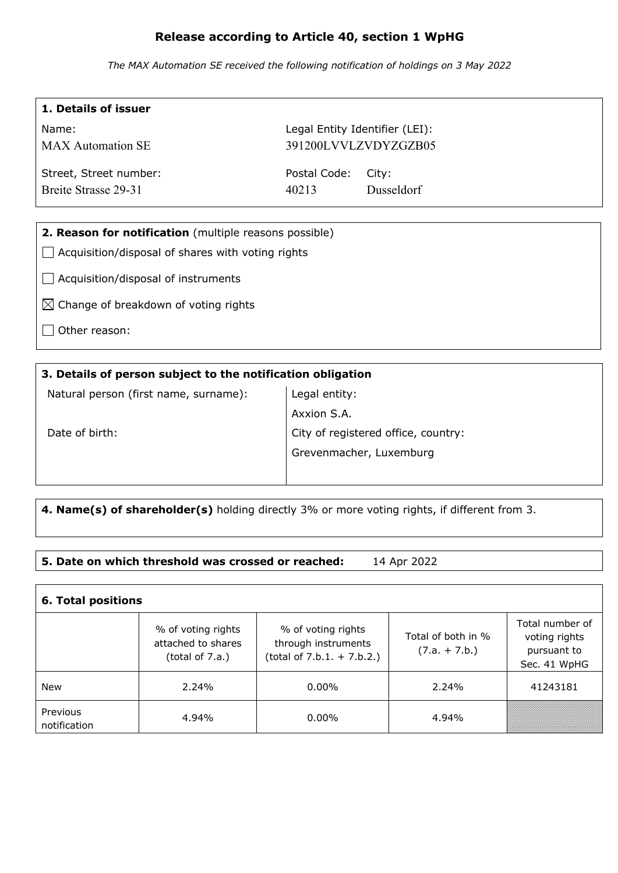# **Release according to Article 40, section 1 WpHG**

*The MAX Automation SE received the following notification of holdings on 3 May 2022*

| 1. Details of issuer                                   |                                |                      |  |  |
|--------------------------------------------------------|--------------------------------|----------------------|--|--|
| Name:                                                  | Legal Entity Identifier (LEI): |                      |  |  |
| <b>MAX</b> Automation SE                               |                                | 391200LVVLZVDYZGZB05 |  |  |
| Street, Street number:                                 | Postal Code:                   | City:                |  |  |
| <b>Breite Strasse 29-31</b>                            | 40213                          | <b>Dusseldorf</b>    |  |  |
|                                                        |                                |                      |  |  |
| 2. Reason for notification (multiple reasons possible) |                                |                      |  |  |
| Acquisition/disposal of shares with voting rights      |                                |                      |  |  |
| Acquisition/disposal of instruments                    |                                |                      |  |  |
| $\boxtimes$ Change of breakdown of voting rights       |                                |                      |  |  |
| Other reason:                                          |                                |                      |  |  |
|                                                        |                                |                      |  |  |

## **3. Details of person subject to the notification obligation**

Natural person (first name, surname):

Legal entity: Axxion S.A. City of registered office, country: Grevenmacher, Luxemburg

Date of birth:

 $\mathbf{I}$ 

**4. Name(s) of shareholder(s)** holding directly 3% or more voting rights, if different from 3.

### **5. Date on which threshold was crossed or reached:** 14 Apr 2022

| <b>6. Total positions</b> |                                                             |                                                                           |                                       |                                                                 |  |  |
|---------------------------|-------------------------------------------------------------|---------------------------------------------------------------------------|---------------------------------------|-----------------------------------------------------------------|--|--|
|                           | % of voting rights<br>attached to shares<br>(total of 7.a.) | % of voting rights<br>through instruments<br>$(total of 7.b.1. + 7.b.2.)$ | Total of both in %<br>$(7.a. + 7.b.)$ | Total number of<br>voting rights<br>pursuant to<br>Sec. 41 WpHG |  |  |
| New                       | $2.24\%$                                                    | $0.00\%$                                                                  | 2.24%                                 | 41243181                                                        |  |  |
| Previous<br>notification  | 4.94%                                                       | $0.00\%$                                                                  | 4.94%                                 |                                                                 |  |  |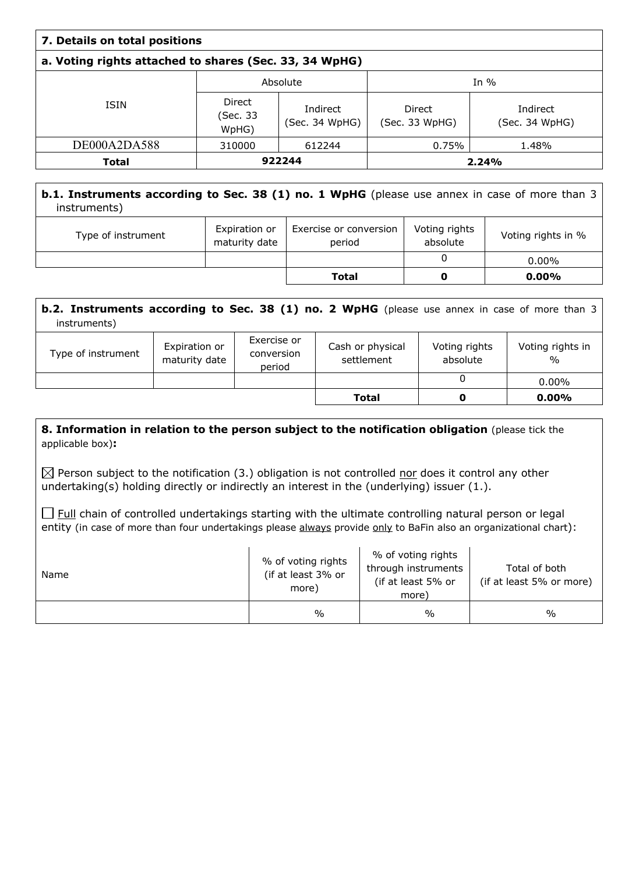| 7. Details on total positions                          |                             |                            |                          |                            |  |
|--------------------------------------------------------|-----------------------------|----------------------------|--------------------------|----------------------------|--|
| a. Voting rights attached to shares (Sec. 33, 34 WpHG) |                             |                            |                          |                            |  |
|                                                        | Absolute                    |                            | In $%$                   |                            |  |
| <b>ISIN</b>                                            | Direct<br>(Sec. 33<br>WpHG) | Indirect<br>(Sec. 34 WpHG) | Direct<br>(Sec. 33 WpHG) | Indirect<br>(Sec. 34 WpHG) |  |
| DE000A2DA588                                           | 310000                      | 612244                     | 0.75%                    | 1.48%                      |  |
| <b>Total</b>                                           | 922244                      |                            | 2.24%                    |                            |  |

## **b.1. Instruments according to Sec. 38 (1) no. 1 WpHG** (please use annex in case of more than 3 instruments)

| Type of instrument | Expiration or<br>maturity date | Exercise or conversion<br>period | Voting rights<br>absolute | Voting rights in % |
|--------------------|--------------------------------|----------------------------------|---------------------------|--------------------|
|                    |                                |                                  |                           | $0.00\%$           |
|                    |                                | <b>Total</b>                     |                           | $0.00\%$           |

| <b>b.2. Instruments according to Sec. 38 (1) no. 2 WpHG</b> (please use annex in case of more than 3<br>instruments) |                                |                                     |                                |                           |                          |
|----------------------------------------------------------------------------------------------------------------------|--------------------------------|-------------------------------------|--------------------------------|---------------------------|--------------------------|
| Type of instrument                                                                                                   | Expiration or<br>maturity date | Exercise or<br>conversion<br>period | Cash or physical<br>settlement | Voting rights<br>absolute | Voting rights in<br>$\%$ |
|                                                                                                                      |                                |                                     |                                | 0                         | $0.00\%$                 |
|                                                                                                                      |                                |                                     | Total                          | O                         | $0.00\%$                 |

#### **8. Information in relation to the person subject to the notification obligation (please tick the** applicable box)**:**

 $\boxtimes$  Person subject to the notification (3.) obligation is not controlled nor does it control any other undertaking(s) holding directly or indirectly an interest in the (underlying) issuer (1.).

 $\Box$  Full chain of controlled undertakings starting with the ultimate controlling natural person or legal entity (in case of more than four undertakings please always provide only to BaFin also an organizational chart):

| Name | % of voting rights<br>(if at least 3% or<br>more) | % of voting rights<br>through instruments<br>(if at least 5% or<br>more) | Total of both<br>(if at least 5% or more) |
|------|---------------------------------------------------|--------------------------------------------------------------------------|-------------------------------------------|
|      | $\%$                                              | $\frac{0}{0}$                                                            | $\frac{0}{0}$                             |